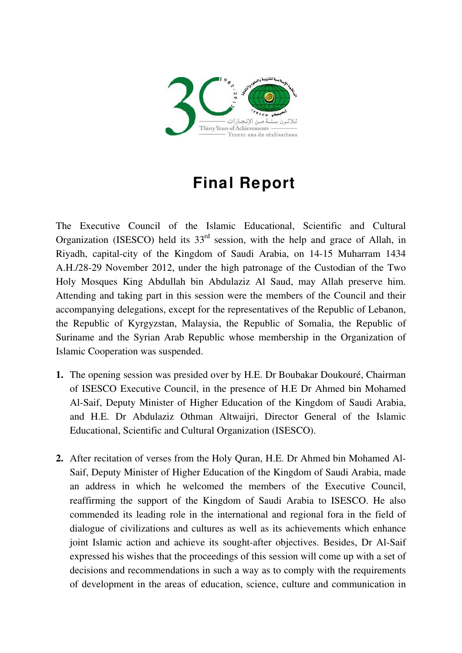

## **Final Report**

The Executive Council of the Islamic Educational, Scientific and Cultural Organization (ISESCO) held its  $33<sup>rd</sup>$  session, with the help and grace of Allah, in Riyadh, capital-city of the Kingdom of Saudi Arabia, on 14-15 Muharram 1434 A.H./28-29 November 2012, under the high patronage of the Custodian of the Two Holy Mosques King Abdullah bin Abdulaziz Al Saud, may Allah preserve him. Attending and taking part in this session were the members of the Council and their accompanying delegations, except for the representatives of the [Republic of Lebanon](http://www.isesco.org.ma/index.php?option=com_k2&view=item&layout=item&id=6&Itemid=60&lang=en), the [Republic of Kyrgyzstan,](http://www.isesco.org.ma/index.php?option=com_k2&view=item&layout=item&id=6&Itemid=60&lang=en) Malaysia, the Republic of Somalia, the [Republic of](http://www.isesco.org.ma/index.php?option=com_k2&view=item&layout=item&id=6&Itemid=60&lang=en)  [Suriname](http://www.isesco.org.ma/index.php?option=com_k2&view=item&layout=item&id=6&Itemid=60&lang=en) and the [Syrian Arab Republic](http://www.isesco.org.ma/index.php?option=com_k2&view=item&layout=item&id=6&Itemid=60&lang=en) whose membership in the Organization of Islamic Cooperation was suspended.

- **1.** The opening session was presided over by H.E. Dr Boubakar Doukouré, Chairman of ISESCO Executive Council, in the presence of H.E Dr Ahmed bin Mohamed Al-Saif, Deputy Minister of Higher Education of the Kingdom of Saudi Arabia, and H.E. Dr Abdulaziz Othman Altwaijri, Director General of the Islamic Educational, Scientific and Cultural Organization (ISESCO).
- **2.** After recitation of verses from the Holy Quran, H.E. Dr Ahmed bin Mohamed Al-Saif, Deputy Minister of Higher Education of the Kingdom of Saudi Arabia, made an address in which he welcomed the members of the Executive Council, reaffirming the support of the Kingdom of Saudi Arabia to ISESCO. He also commended its leading role in the international and regional fora in the field of dialogue of civilizations and cultures as well as its achievements which enhance joint Islamic action and achieve its sought-after objectives. Besides, Dr Al-Saif expressed his wishes that the proceedings of this session will come up with a set of decisions and recommendations in such a way as to comply with the requirements of development in the areas of education, science, culture and communication in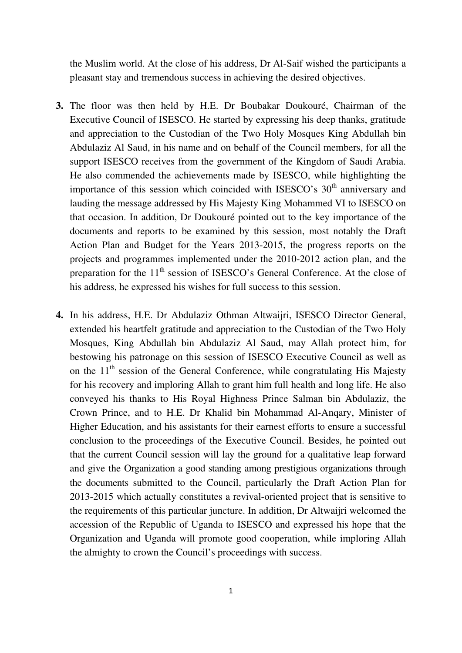the Muslim world. At the close of his address, Dr Al-Saif wished the participants a pleasant stay and tremendous success in achieving the desired objectives.

- **3.** The floor was then held by H.E. Dr Boubakar Doukouré, Chairman of the Executive Council of ISESCO. He started by expressing his deep thanks, gratitude and appreciation to the Custodian of the Two Holy Mosques King Abdullah bin Abdulaziz Al Saud, in his name and on behalf of the Council members, for all the support ISESCO receives from the government of the Kingdom of Saudi Arabia. He also commended the achievements made by ISESCO, while highlighting the importance of this session which coincided with ISESCO's  $30<sup>th</sup>$  anniversary and lauding the message addressed by His Majesty King Mohammed VI to ISESCO on that occasion. In addition, Dr Doukouré pointed out to the key importance of the documents and reports to be examined by this session, most notably the Draft Action Plan and Budget for the Years 2013-2015, the progress reports on the projects and programmes implemented under the 2010-2012 action plan, and the preparation for the  $11<sup>th</sup>$  session of ISESCO's General Conference. At the close of his address, he expressed his wishes for full success to this session.
- **4.** In his address, H.E. Dr Abdulaziz Othman Altwaijri, ISESCO Director General, extended his heartfelt gratitude and appreciation to the Custodian of the Two Holy Mosques, King Abdullah bin Abdulaziz Al Saud, may Allah protect him, for bestowing his patronage on this session of ISESCO Executive Council as well as on the  $11<sup>th</sup>$  session of the General Conference, while congratulating His Majesty for his recovery and imploring Allah to grant him full health and long life. He also conveyed his thanks to His Royal Highness Prince Salman bin Abdulaziz, the Crown Prince, and to H.E. Dr Khalid bin Mohammad Al-Anqary, Minister of Higher Education, and his assistants for their earnest efforts to ensure a successful conclusion to the proceedings of the Executive Council. Besides, he pointed out that the current Council session will lay the ground for a qualitative leap forward and give the Organization a good standing among prestigious organizations through the documents submitted to the Council, particularly the Draft Action Plan for 2013-2015 which actually constitutes a revival-oriented project that is sensitive to the requirements of this particular juncture. In addition, Dr Altwaijri welcomed the accession of the Republic of Uganda to ISESCO and expressed his hope that the Organization and Uganda will promote good cooperation, while imploring Allah the almighty to crown the Council's proceedings with success.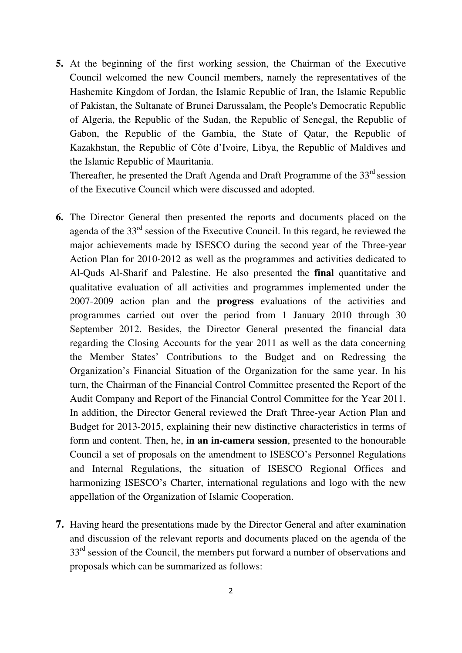**5.** At the beginning of the first working session, the Chairman of the Executive Council welcomed the new Council members, namely the representatives of the Hashemite Kingdom of Jordan, the Islamic Republic of Iran, the Islamic Republic of Pakistan, the Sultanate of Brunei Darussalam, the People's Democratic Republic of Algeria, the Republic of the Sudan, the Republic of Senegal, the Republic of Gabon, the Republic of the Gambia, the State of Qatar, the Republic of Kazakhstan, the Republic of Côte d'Ivoire, Libya, the Republic of Maldives and the Islamic Republic of Mauritania.

Thereafter, he presented the Draft Agenda and Draft Programme of the  $33<sup>rd</sup>$  session of the Executive Council which were discussed and adopted.

- **6.** The Director General then presented the reports and documents placed on the agenda of the 33rd session of the Executive Council. In this regard, he reviewed the major achievements made by ISESCO during the second year of the Three-year Action Plan for 2010-2012 as well as the programmes and activities dedicated to Al-Quds Al-Sharif and Palestine. He also presented the **final** quantitative and qualitative evaluation of all activities and programmes implemented under the 2007-2009 action plan and the **progress** evaluations of the activities and programmes carried out over the period from 1 January 2010 through 30 September 2012. Besides, the Director General presented the financial data regarding the Closing Accounts for the year 2011 as well as the data concerning the Member States' Contributions to the Budget and on Redressing the Organization's Financial Situation of the Organization for the same year. In his turn, the Chairman of the Financial Control Committee presented the Report of the Audit Company and Report of the Financial Control Committee for the Year 2011. In addition, the Director General reviewed the Draft Three-year Action Plan and Budget for 2013-2015, explaining their new distinctive characteristics in terms of form and content. Then, he, **in an in-camera session**, presented to the honourable Council a set of proposals on the amendment to ISESCO's Personnel Regulations and Internal Regulations, the situation of ISESCO Regional Offices and harmonizing ISESCO's Charter, international regulations and logo with the new appellation of the Organization of Islamic Cooperation.
- **7.** Having heard the presentations made by the Director General and after examination and discussion of the relevant reports and documents placed on the agenda of the  $33<sup>rd</sup>$  session of the Council, the members put forward a number of observations and proposals which can be summarized as follows: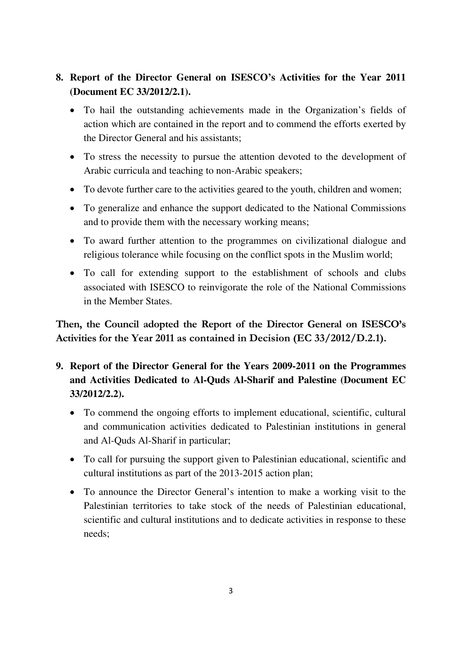## **8. Report of the Director General on ISESCO's Activities for the Year 2011 (Document EC 33/2012/2.1).**

- To hail the outstanding achievements made in the Organization's fields of action which are contained in the report and to commend the efforts exerted by the Director General and his assistants;
- To stress the necessity to pursue the attention devoted to the development of Arabic curricula and teaching to non-Arabic speakers;
- To devote further care to the activities geared to the youth, children and women;
- To generalize and enhance the support dedicated to the National Commissions and to provide them with the necessary working means;
- To award further attention to the programmes on civilizational dialogue and religious tolerance while focusing on the conflict spots in the Muslim world;
- To call for extending support to the establishment of schools and clubs associated with ISESCO to reinvigorate the role of the National Commissions in the Member States.

**Then, the Council adopted the Report of the Director General on ISESCO's Activities for the Year 2011 as contained in Decision (EC 33/2012/D.2.1).** 

- **9. Report of the Director General for the Years 2009-2011 on the Programmes and Activities Dedicated to Al-Quds Al-Sharif and Palestine (Document EC 33/2012/2.2).** 
	- To commend the ongoing efforts to implement educational, scientific, cultural and communication activities dedicated to Palestinian institutions in general and Al-Quds Al-Sharif in particular;
	- To call for pursuing the support given to Palestinian educational, scientific and cultural institutions as part of the 2013-2015 action plan;
	- To announce the Director General's intention to make a working visit to the Palestinian territories to take stock of the needs of Palestinian educational, scientific and cultural institutions and to dedicate activities in response to these needs;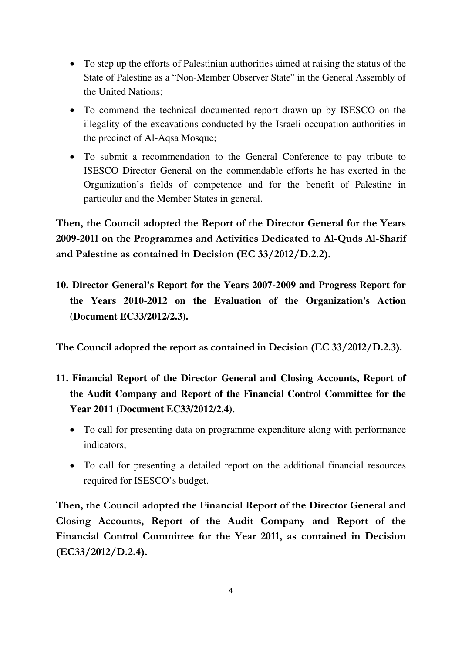- To step up the efforts of Palestinian authorities aimed at raising the status of the State of Palestine as a "Non-Member Observer State" in the General Assembly of the United Nations;
- To commend the technical documented report drawn up by ISESCO on the illegality of the excavations conducted by the Israeli occupation authorities in the precinct of Al-Aqsa Mosque;
- To submit a recommendation to the General Conference to pay tribute to ISESCO Director General on the commendable efforts he has exerted in the Organization's fields of competence and for the benefit of Palestine in particular and the Member States in general.

**Then, the Council adopted the Report of the Director General for the Years 2009-2011 on the Programmes and Activities Dedicated to Al-Quds Al-Sharif and Palestine as contained in Decision (EC 33/2012/D.2.2).** 

**10. Director General's Report for the Years 2007-2009 and Progress Report for the Years 2010-2012 on the Evaluation of the Organization's Action (Document EC33/2012/2.3).** 

**The Council adopted the report as contained in Decision (EC 33/2012/D.2.3).** 

- **11. Financial Report of the Director General and Closing Accounts, Report of the Audit Company and Report of the Financial Control Committee for the Year 2011 (Document EC33/2012/2.4).** 
	- To call for presenting data on programme expenditure along with performance indicators;
	- To call for presenting a detailed report on the additional financial resources required for ISESCO's budget.

**Then, the Council adopted the Financial Report of the Director General and Closing Accounts, Report of the Audit Company and Report of the Financial Control Committee for the Year 2011, as contained in Decision (EC33/2012/D.2.4).**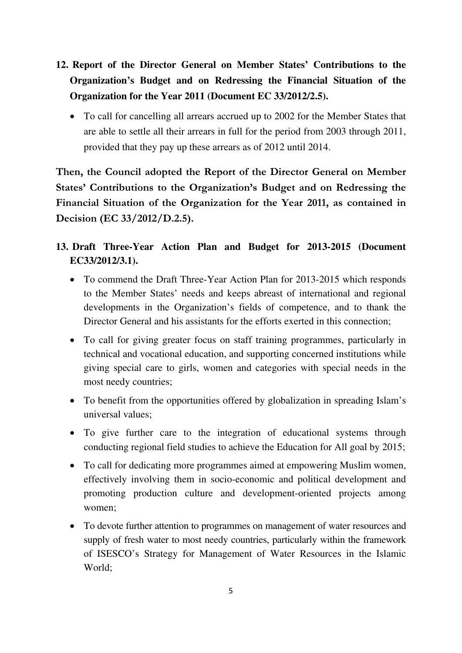- **12. Report of the Director General on Member States' Contributions to the Organization's Budget and on Redressing the Financial Situation of the Organization for the Year 2011 (Document EC 33/2012/2.5).** 
	- To call for cancelling all arrears accrued up to 2002 for the Member States that are able to settle all their arrears in full for the period from 2003 through 2011, provided that they pay up these arrears as of 2012 until 2014.

**Then, the Council adopted the Report of the Director General on Member States' Contributions to the Organization's Budget and on Redressing the Financial Situation of the Organization for the Year 2011, as contained in Decision (EC 33/2012/D.2.5).** 

- **13. Draft Three-Year Action Plan and Budget for 2013-2015 (Document EC33/2012/3.1).** 
	- To commend the Draft Three-Year Action Plan for 2013-2015 which responds to the Member States' needs and keeps abreast of international and regional developments in the Organization's fields of competence, and to thank the Director General and his assistants for the efforts exerted in this connection;
	- To call for giving greater focus on staff training programmes, particularly in technical and vocational education, and supporting concerned institutions while giving special care to girls, women and categories with special needs in the most needy countries;
	- To benefit from the opportunities offered by globalization in spreading Islam's universal values;
	- To give further care to the integration of educational systems through conducting regional field studies to achieve the Education for All goal by 2015;
	- To call for dedicating more programmes aimed at empowering Muslim women, effectively involving them in socio-economic and political development and promoting production culture and development-oriented projects among women;
	- To devote further attention to programmes on management of water resources and supply of fresh water to most needy countries, particularly within the framework of ISESCO's Strategy for Management of Water Resources in the Islamic World;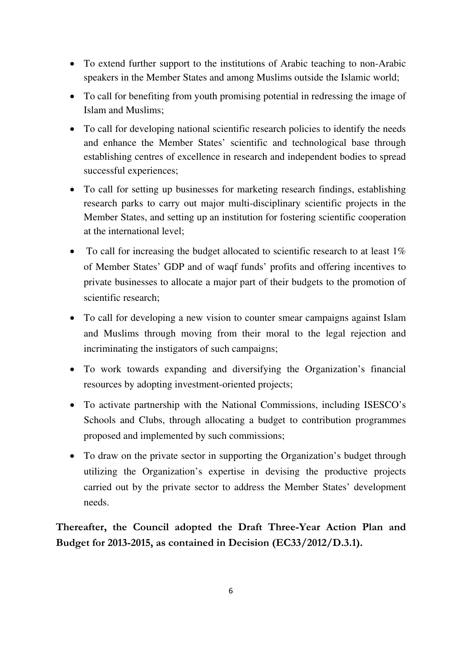- To extend further support to the institutions of Arabic teaching to non-Arabic speakers in the Member States and among Muslims outside the Islamic world;
- To call for benefiting from youth promising potential in redressing the image of Islam and Muslims;
- To call for developing national scientific research policies to identify the needs and enhance the Member States' scientific and technological base through establishing centres of excellence in research and independent bodies to spread successful experiences;
- To call for setting up businesses for marketing research findings, establishing research parks to carry out major multi-disciplinary scientific projects in the Member States, and setting up an institution for fostering scientific cooperation at the international level;
- To call for increasing the budget allocated to scientific research to at least 1% of Member States' GDP and of waqf funds' profits and offering incentives to private businesses to allocate a major part of their budgets to the promotion of scientific research;
- To call for developing a new vision to counter smear campaigns against Islam and Muslims through moving from their moral to the legal rejection and incriminating the instigators of such campaigns;
- To work towards expanding and diversifying the Organization's financial resources by adopting investment-oriented projects;
- To activate partnership with the National Commissions, including ISESCO's Schools and Clubs, through allocating a budget to contribution programmes proposed and implemented by such commissions;
- To draw on the private sector in supporting the Organization's budget through utilizing the Organization's expertise in devising the productive projects carried out by the private sector to address the Member States' development needs.

**Thereafter, the Council adopted the Draft Three-Year Action Plan and Budget for 2013-2015, as contained in Decision (EC33/2012/D.3.1).**